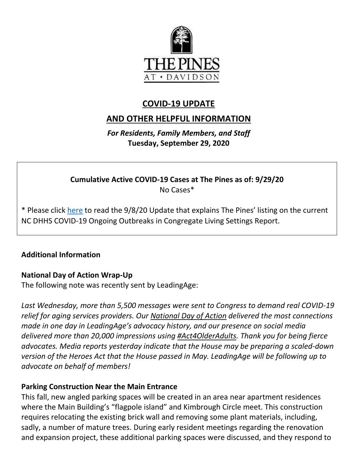

## **COVID-19 UPDATE**

# **AND OTHER HELPFUL INFORMATION**

*For Residents, Family Members, and Staff* **Tuesday, September 29, 2020**

**Cumulative Active COVID-19 Cases at The Pines as of: 9/29/20** No Cases\*

\* Please click [here](https://www.mycommunity-center.com/filephotos/463/COVID-19%20Update%209-8-2020.pdf) to read the 9/8/20 Update that explains The Pines' listing on the current NC DHHS COVID-19 Ongoing Outbreaks in Congregate Living Settings Report.

#### **Additional Information**

#### **National Day of Action Wrap-Up**

The following note was recently sent by LeadingAge:

*Last Wednesday, more than 5,500 messages were sent to Congress to demand real COVID-19 relief for aging services providers. Our [National Day of Action](http://go.pardot.com/e/874291/act/m217d/510067905?h=dKRGCWUzfTTig5aLGNVaX0cx1jz6iRZ93DMjdPkwfbs) delivered the most connections made in one day in LeadingAge's advocacy history, and our presence on social media delivered more than 20,000 impressions using [#Act4OlderAdults.](http://go.pardot.com/e/874291/radults-src-typed-query-f-live/m217g/510067905?h=dKRGCWUzfTTig5aLGNVaX0cx1jz6iRZ93DMjdPkwfbs) Thank you for being fierce advocates. Media reports yesterday indicate that the House may be preparing a scaled-down version of the Heroes Act that the House passed in May. LeadingAge will be following up to advocate on behalf of members!*

#### **Parking Construction Near the Main Entrance**

This fall, new angled parking spaces will be created in an area near apartment residences where the Main Building's "flagpole island" and Kimbrough Circle meet. This construction requires relocating the existing brick wall and removing some plant materials, including, sadly, a number of mature trees. During early resident meetings regarding the renovation and expansion project, these additional parking spaces were discussed, and they respond to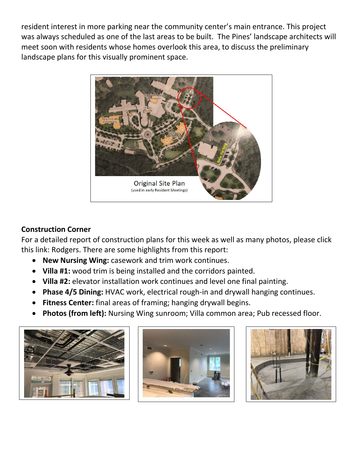resident interest in more parking near the community center's main entrance. This project was always scheduled as one of the last areas to be built. The Pines' landscape architects will meet soon with residents whose homes overlook this area, to discuss the preliminary landscape plans for this visually prominent space.



## **Construction Corner**

For a detailed report of construction plans for this week as well as many photos, please click this link: Rodgers. There are some highlights from this report:

- **New Nursing Wing:** casework and trim work continues.
- **Villa #1:** wood trim is being installed and the corridors painted.
- **Villa #2:** elevator installation work continues and level one final painting.
- **Phase 4/5 Dining:** HVAC work, electrical rough-in and drywall hanging continues.
- **Fitness Center:** final areas of framing; hanging drywall begins.
- **Photos (from left):** Nursing Wing sunroom; Villa common area; Pub recessed floor.